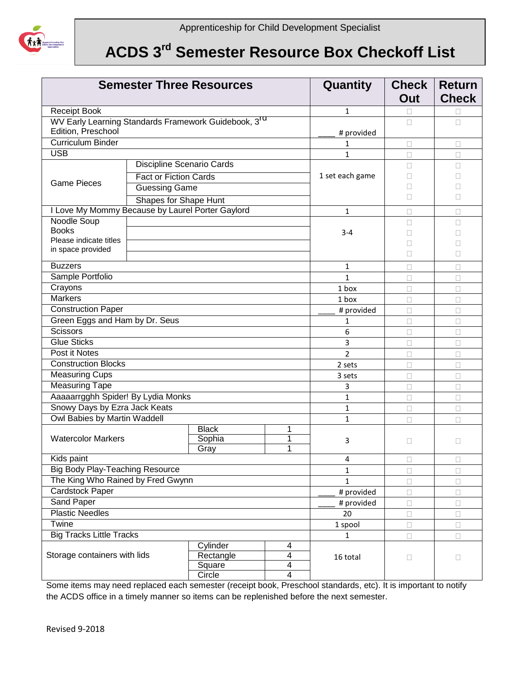

## **ACDS 3 rd Semester Resource Box Checkoff List**

| <b>Semester Three Resources</b>                                                        |                              |                                 |             | Quantity        | <b>Check</b><br>Out | <b>Return</b><br><b>Check</b> |
|----------------------------------------------------------------------------------------|------------------------------|---------------------------------|-------------|-----------------|---------------------|-------------------------------|
| Receipt Book                                                                           |                              |                                 |             | $\mathbf{1}$    | П                   |                               |
| WV Early Learning Standards Framework Guidebook, 3 <sup>rd</sup><br>Edition, Preschool |                              |                                 |             | # provided      | П                   | $\Box$                        |
| <b>Curriculum Binder</b>                                                               |                              |                                 |             | 1               | $\Box$              | $\Box$                        |
| <b>USB</b>                                                                             |                              |                                 |             | $\mathbf{1}$    | $\Box$              | $\Box$                        |
|                                                                                        | Discipline Scenario Cards    |                                 |             |                 | П                   | П                             |
| <b>Game Pieces</b>                                                                     | <b>Fact or Fiction Cards</b> |                                 |             | 1 set each game | П                   |                               |
|                                                                                        | <b>Guessing Game</b>         |                                 |             |                 | П                   |                               |
|                                                                                        |                              |                                 |             |                 | П                   | П                             |
| <b>Shapes for Shape Hunt</b>                                                           |                              |                                 |             |                 |                     |                               |
| I Love My Mommy Because by Laurel Porter Gaylord                                       |                              |                                 |             | $\mathbf{1}$    | П                   | П                             |
| Noodle Soup<br><b>Books</b>                                                            |                              |                                 |             |                 | П                   | П                             |
| Please indicate titles                                                                 |                              |                                 | $3 - 4$     |                 | П                   |                               |
| in space provided                                                                      |                              |                                 |             |                 | П                   |                               |
|                                                                                        |                              |                                 |             |                 | П                   | П                             |
| <b>Buzzers</b>                                                                         |                              |                                 |             | $\mathbf{1}$    | П                   | П                             |
| Sample Portfolio                                                                       |                              |                                 |             | $\mathbf{1}$    | $\Box$              | $\Box$                        |
| Crayons                                                                                |                              |                                 |             | 1 box           | П                   | П                             |
| <b>Markers</b>                                                                         |                              |                                 |             | 1 box           | $\Box$              | $\Box$                        |
| <b>Construction Paper</b>                                                              |                              |                                 |             | # provided      | $\Box$              | $\Box$                        |
| Green Eggs and Ham by Dr. Seus                                                         |                              |                                 |             | $\mathbf{1}$    | $\Box$              | $\Box$                        |
| <b>Scissors</b>                                                                        |                              |                                 |             | 6               | $\Box$              | $\Box$                        |
| <b>Glue Sticks</b>                                                                     |                              |                                 |             | 3               | □                   | $\Box$                        |
| Post it Notes                                                                          |                              |                                 |             | $\overline{2}$  | $\Box$              | $\Box$                        |
| <b>Construction Blocks</b>                                                             |                              |                                 |             | 2 sets          | $\Box$              | $\Box$                        |
| <b>Measuring Cups</b>                                                                  |                              |                                 |             | 3 sets          | $\Box$              | $\Box$                        |
| <b>Measuring Tape</b>                                                                  |                              |                                 |             | 3               | $\Box$              | $\Box$                        |
| Aaaaarrgghh Spider! By Lydia Monks                                                     |                              |                                 |             | $\mathbf{1}$    | $\Box$              | $\Box$                        |
| Snowy Days by Ezra Jack Keats                                                          |                              |                                 |             | $\mathbf{1}$    | $\Box$              | $\Box$                        |
| <b>Owl Babies by Martin Waddell</b>                                                    |                              |                                 |             | $\mathbf{1}$    | П                   | $\Box$                        |
| <b>Watercolor Markers</b>                                                              |                              | <b>Black</b><br>Sophia<br>Gray  | 1<br>1<br>1 | 3               | □                   | □                             |
| Kids paint                                                                             |                              |                                 |             | 4               | $\Box$              | $\Box$                        |
| <b>Big Body Play-Teaching Resource</b>                                                 |                              |                                 |             | 1               | □                   | $\Box$                        |
| The King Who Rained by Fred Gwynn                                                      |                              |                                 |             | $\mathbf 1$     | $\Box$              | $\Box$                        |
| <b>Cardstock Paper</b>                                                                 |                              |                                 |             | # provided      | $\Box$              | $\Box$                        |
| <b>Sand Paper</b>                                                                      |                              |                                 |             | # provided      | $\Box$              | $\Box$                        |
| <b>Plastic Needles</b>                                                                 |                              |                                 |             | 20              | $\Box$              | $\Box$                        |
| <b>Twine</b>                                                                           |                              |                                 |             | 1 spool         | $\Box$              | $\Box$                        |
| <b>Big Tracks Little Tracks</b>                                                        |                              |                                 |             | $\mathbf{1}$    | $\Box$              | П                             |
| Storage containers with lids                                                           |                              | Cylinder<br>Rectangle<br>Square | 4<br>4<br>4 | 16 total        | $\Box$              | $\Box$                        |
|                                                                                        |                              | Circle                          | 4           |                 |                     |                               |

Some items may need replaced each semester (receipt book, Preschool standards, etc). It is important to notify the ACDS office in a timely manner so items can be replenished before the next semester.